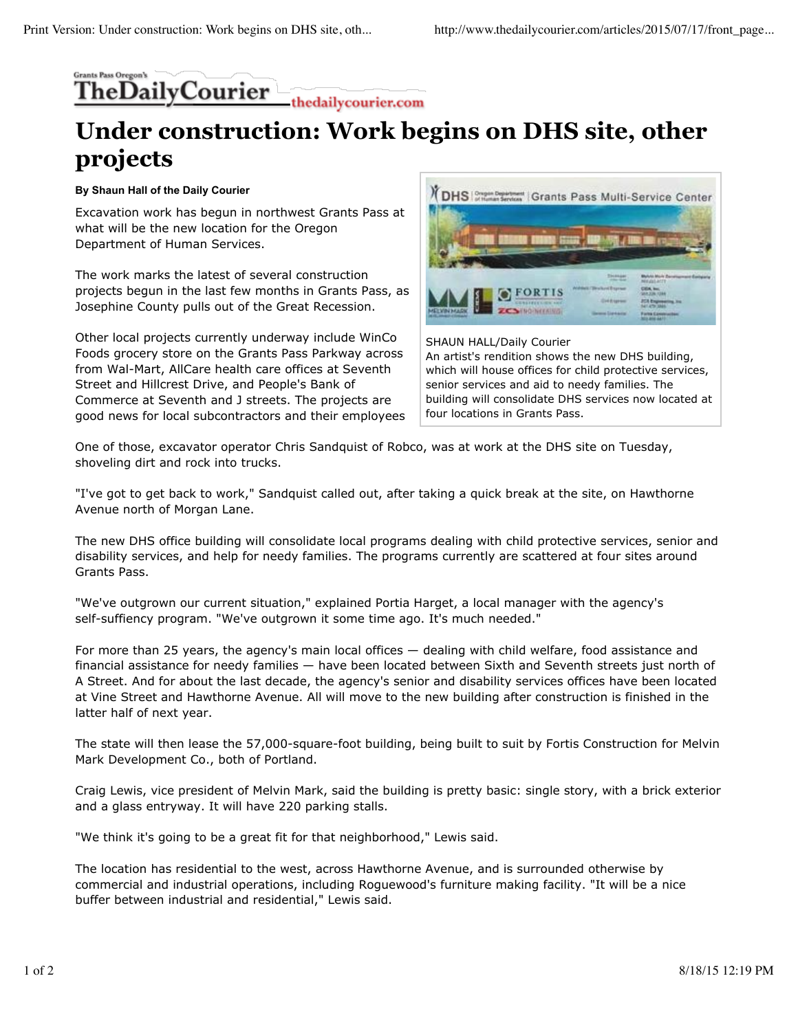## **Grants Pass Oregon' heDailyCourier** thedailycourier.com

## **Under construction: Work begins on DHS site, other projects**

## **By Shaun Hall of the Daily Courier**

Excavation work has begun in northwest Grants Pass at what will be the new location for the Oregon Department of Human Services.

The work marks the latest of several construction projects begun in the last few months in Grants Pass, as Josephine County pulls out of the Great Recession.

Other local projects currently underway include WinCo Foods grocery store on the Grants Pass Parkway across from Wal-Mart, AllCare health care offices at Seventh Street and Hillcrest Drive, and People's Bank of Commerce at Seventh and J streets. The projects are good news for local subcontractors and their employees



SHAUN HALL/Daily Courier An artist's rendition shows the new DHS building, which will house offices for child protective services, senior services and aid to needy families. The building will consolidate DHS services now located at four locations in Grants Pass.

One of those, excavator operator Chris Sandquist of Robco, was at work at the DHS site on Tuesday, shoveling dirt and rock into trucks.

"I've got to get back to work," Sandquist called out, after taking a quick break at the site, on Hawthorne Avenue north of Morgan Lane.

The new DHS office building will consolidate local programs dealing with child protective services, senior and disability services, and help for needy families. The programs currently are scattered at four sites around Grants Pass.

"We've outgrown our current situation," explained Portia Harget, a local manager with the agency's self-suffiency program. "We've outgrown it some time ago. It's much needed."

For more than 25 years, the agency's main local offices — dealing with child welfare, food assistance and financial assistance for needy families — have been located between Sixth and Seventh streets just north of A Street. And for about the last decade, the agency's senior and disability services offices have been located at Vine Street and Hawthorne Avenue. All will move to the new building after construction is finished in the latter half of next year.

The state will then lease the 57,000-square-foot building, being built to suit by Fortis Construction for Melvin Mark Development Co., both of Portland.

Craig Lewis, vice president of Melvin Mark, said the building is pretty basic: single story, with a brick exterior and a glass entryway. It will have 220 parking stalls.

"We think it's going to be a great fit for that neighborhood," Lewis said.

The location has residential to the west, across Hawthorne Avenue, and is surrounded otherwise by commercial and industrial operations, including Roguewood's furniture making facility. "It will be a nice buffer between industrial and residential," Lewis said.